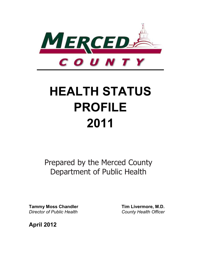

# **HEALTH STATUS PROFILE 2011**

Prepared by the Merced County Department of Public Health

**Tammy Moss Chandler Tim Livermore, M.D. Director of Public Health County Health Officer** *County Health Officer* 

**April 2012**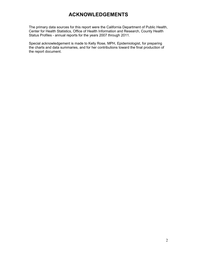# **ACKNOWLEDGEMENTS**

The primary data sources for this report were the California Department of Public Health, Center for Health Statistics, Office of Health Information and Research, County Health Status Profiles - annual reports for the years 2007 through 2011.

Special acknowledgement is made to Kelly Rose, MPH, Epidemiologist, for preparing the charts and data summaries, and for her contributions toward the final production of the report document.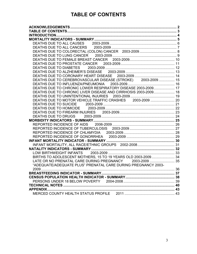# **TABLE OF CONTENTS**

| DEATHS DUE TO CEREBROVASCULAR DISEASE (STROKE) 2003-2009 15    |  |
|----------------------------------------------------------------|--|
|                                                                |  |
| DEATHS DUE TO CHRONIC LOWER RESPIRATORY DISEASE 2003-2009 17   |  |
| DEATHS DUE TO CHRONIC LIVER DISEASE AND CIRRHOSIS 2003-2009 18 |  |
|                                                                |  |
| DEATHS DUE TO MOTOR VEHICLE TRAFFIC CRASHES 2003-2009  20      |  |
|                                                                |  |
|                                                                |  |
|                                                                |  |
|                                                                |  |
|                                                                |  |
|                                                                |  |
|                                                                |  |
|                                                                |  |
|                                                                |  |
|                                                                |  |
|                                                                |  |
|                                                                |  |
| BIRTHS TO ADOLESCENT MOTHERS, 15 TO 19 YEARS OLD 2003-2009 34  |  |
| LATE OR NO PRENATAL CARE DURING PREGNANCY 2003-2009  35        |  |
| "ADEQUATE/ADEQUATE PLUS" PRENATAL CARE DURING PREGNANCY 2003-  |  |
|                                                                |  |
|                                                                |  |
|                                                                |  |
|                                                                |  |
|                                                                |  |
|                                                                |  |
|                                                                |  |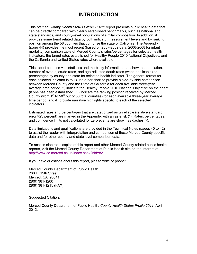# **INTRODUCTION**

This *Merced County Health Status Profile - 2011* report presents public health data that can be directly compared with clearly established benchmarks, such as national and state standards, and county-level populations of similar composition. In addition, it provides some trend related data by both indicator measurement levels and by ranking position among the 58 counties that comprise the state of California. The Appendix (page 44) provides the most recent (based on 2007-2009 data; 2006-2008 for infant mortality) comparison table of Merced County's rates/percentages for selected health indicators, the target rates established for Healthy People 2010 National Objectives, and the California and United States rates where available.

This report contains vital statistics and morbidity information that show the population, number of events, crude rates, and age-adjusted death rates (when applicable) or percentages by county and state for selected health indicator. The general format for each selected indicator is to 1) use a bar chart to provide a side-by-side comparison between Merced County and the State of California for each available three-year average time period, 2) indicate the Healthy People 2010 National Objective on the chart (if one has been established), 3) indicate the ranking position received by Merced County (from  $1<sup>st</sup>$  to 58<sup>th</sup> out of 58 total counties) for each available three-year average time period, and 4) provide narrative highlights specific to each of the selected indicators.

Estimated rates and percentages that are categorized as unreliable (relative standard error ≥23 percent) are marked in the Appendix with an asterisk (\*). Rates, percentages, and confidence limits not calculated for zero events are shown as dashes (-).

Data limitations and qualifications are provided in the Technical Notes (pages 40 to 42) to assist the reader with interpretation and comparison of these Merced County specific data and for other county and state level comparison data.

To access electronic copies of this report and other Merced County related public health reports, visit the Merced County Department of Public Health site on the Internet at: http://www.co.merced.ca.us/index.aspx?nid=82

If you have questions about this report, please write or phone:

Merced County Department of Public Health 260 E. 15th Street Merced, CA 95341 (209) 381-1200 (209) 381-1215 (FAX)

Suggested Citation:

Merced County Department of Public Health, *County Health Status Profile 2011,* April 2012.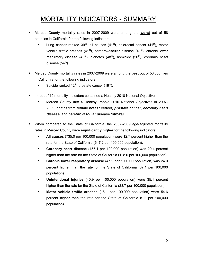# MORTALITY INDICATORS - SUMMARY

- Merced County mortality rates in 2007-2009 were among the **worst** out of 58 counties in California for the following indicators:
	- Lung cancer ranked  $39<sup>th</sup>$ , all causes (41<sup>st</sup>), colorectal cancer (41<sup>st</sup>), motor vehicle traffic crashes  $(41<sup>st</sup>)$ , cerebrovascular disease  $(41<sup>st</sup>)$ , chronic lower respiratory disease (43 $<sup>rd</sup>$ ), diabetes (48<sup>th</sup>), homicide (50<sup>th</sup>), coronary heart</sup> disease  $(54^{\text{th}})$ .
- Merced County mortality rates in 2007-2009 were among the **best** out of 58 counties in California for the following indicators:
	- Suicide ranked  $12^{th}$ , prostate cancer (19<sup>th</sup>).
- 14 out of 19 mortality indicators contained a Healthy 2010 National Objective.
	- Merced County *met* 4 Healthy People 2010 National Objectives in 2007- 2009: deaths from *female breast cancer, prostate cancer, coronary heart disease,* and *cerebrovascular disease (stroke)*.
- When compared to the State of California, the 2007-2009 age-adjusted mortality rates in Merced County were **significantly higher** for the following indicators:
	- **All causes** (735.0 per 100,000 population) were 12.7 percent higher than the rate for the State of California (647.2 per 100,000 population).
	- **Coronary heart disease** (157.1 per 100,000 population) was 20.4 percent higher than the rate for the State of California (128.0 per 100,000 population).
	- **Chronic lower respiratory disease** (47.2 per 100,000 population) was 24.0 percent higher than the rate for the State of California (37.1 per 100,000 population).
	- **Unintentional injuries** (40.9 per 100,000 population) were 35.1 percent higher than the rate for the State of California (28.7 per 100,000 population).
	- **Motor vehicle traffic crashes** (16.1 per 100,000 population) were 54.6 percent higher than the rate for the State of California (9.2 per 100,000 population).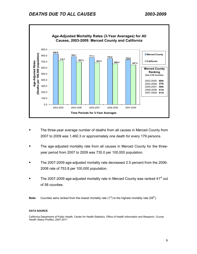

- The three-year average number of deaths from all causes in Merced County from 2007 to 2009 was 1,460.3 or approximately one death for every 179 persons.
- The age-adjusted mortality rate from all causes in Merced County for the threeyear period from 2007 to 2009 was 735.0 per 100,000 population.
- The 2007-2009 age-adjusted mortality rate decreased 2.5 percent from the 2006- 2008 rate of 753.8 per 100,000 population.
- The 2007-2009 age-adjusted mortality rate in Merced County was ranked 41<sup>st</sup> out of 58 counties.

**Note:** Counties were ranked from the lowest mortality rate  $(1<sup>st</sup>)$  to the highest mortality rate  $(58<sup>th</sup>)$ .

#### **DATA SOURCE**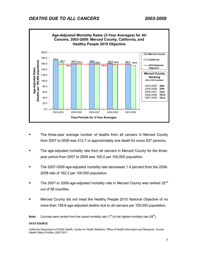

- The three-year average number of deaths from all cancers in Merced County from 2007 to 2009 was 312.7 or approximately one death for every 837 persons.
- The age-adjusted mortality rate from all cancers in Merced County for the threeyear period from 2007 to 2009 was 160.0 per 100,000 population.
- The 2007-2009 age-adjusted mortality rate decreased 1.4 percent from the 2006- 2008 rate of 162.2 per 100,000 population.
- The 2007 to 2009 age-adjusted mortality rate in Merced County was ranked  $32<sup>nd</sup>$ out of 58 counties.
- Merced County did *not* meet the Healthy People 2010 National Objective of no more than 158.6 age-adjusted deaths due to all cancers per 100,000 population.

**Note:** Counties were ranked from the lowest mortality rate  $(1^{st})$  to the highest mortality rate  $(58^{th})$ .

#### **DATA SOURCE**

California Department of Public Health, Center for Health Statistics, Office of Health Information and Research, *County Health Status Profiles*, 2007-2011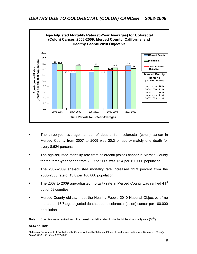

- The three-year average number of deaths from colorectal (colon) cancer in Merced County from 2007 to 2009 was 30.3 or approximately one death for every 8,624 persons.
- The age-adjusted mortality rate from colorectal (colon) cancer in Merced County for the three-year period from 2007 to 2009 was 15.4 per 100,000 population.
- The 2007-2009 age-adjusted mortality rate increased 11.9 percent from the 2006-2008 rate of 13.8 per 100,000 population.
- The 2007 to 2009 age-adjusted mortality rate in Merced County was ranked  $41<sup>st</sup>$ out of 58 counties.
- Merced County did *not* meet the Healthy People 2010 National Objective of no more than 13.7 age-adjusted deaths due to colorectal (colon) cancer per 100,000 population.

**Note:** Counties were ranked from the lowest mortality rate  $(1^{st})$  to the highest mortality rate  $(58<sup>th</sup>)$ .

#### **DATA SOURCE**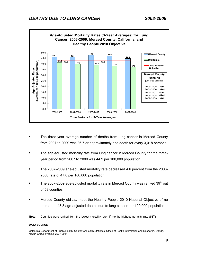

- The three-year average number of deaths from lung cancer in Merced County from 2007 to 2009 was 86.7 or approximately one death for every 3,018 persons.
- The age-adjusted mortality rate from lung cancer in Merced County for the threeyear period from 2007 to 2009 was 44.9 per 100,000 population.
- The 2007-2009 age-adjusted mortality rate decreased 4.6 percent from the 2006- 2008 rate of 47.0 per 100,000 population.
- The 2007-2009 age-adjusted mortality rate in Merced County was ranked  $39<sup>th</sup>$  out of 58 counties.
- Merced County did *not* meet the Healthy People 2010 National Objective of no more than 43.3 age-adjusted deaths due to lung cancer per 100,000 population.

**Note:** Counties were ranked from the lowest mortality rate  $(1^{st})$  to the highest mortality rate  $(58^{th})$ .

#### **DATA SOURCE**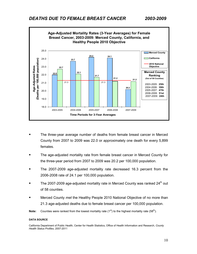

- The three-year average number of deaths from female breast cancer in Merced County from 2007 to 2009 was 22.0 or approximately one death for every 5,899 females.
- The age-adjusted mortality rate from female breast cancer in Merced County for the three-year period from 2007 to 2009 was 20.2 per 100,000 population.
- The 2007-2009 age-adjusted mortality rate decreased 16.3 percent from the 2006-2008 rate of 24.1 per 100,000 population.
- The 2007-2009 age-adjusted mortality rate in Merced County was ranked  $24<sup>th</sup>$  out of 58 counties.
- Merced County *met* the Healthy People 2010 National Objective of no more than 21.3 age-adjusted deaths due to female breast cancer per 100,000 population.

**Note:** Counties were ranked from the lowest mortality rate (1<sup>st</sup>) to the highest mortality rate (58<sup>th</sup>).

#### **DATA SOURCE**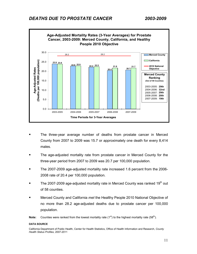

- The three-year average number of deaths from prostate cancer in Merced County from 2007 to 2009 was 15.7 or approximately one death for every 8,414 males.
- **The age-adjusted mortality rate from prostate cancer in Merced County for the** three-year period from 2007 to 2009 was 20.7 per 100,000 population.
- The 2007-2009 age-adjusted mortality rate increased 1.6 percent from the 2006- 2008 rate of 20.4 per 100,000 population.
- The 2007-2009 age-adjusted mortality rate in Merced County was ranked  $19<sup>th</sup>$  out of 58 counties.
- Merced County and California *met* the Healthy People 2010 National Objective of no more than 28.2 age-adjusted deaths due to prostate cancer per 100,000 population.

**Note:** Counties were ranked from the lowest mortality rate  $(1^{st})$  to the highest mortality rate  $(58^{th})$ .

#### **DATA SOURCE**

California Department of Public Health, Center for Health Statistics, Office of Health Information and Research, *County Health Status Profiles*, 2007-2011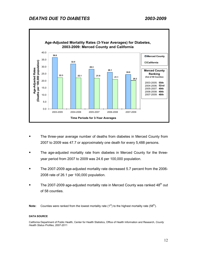

- The three-year average number of deaths from diabetes in Merced County from 2007 to 2009 was 47.7 or approximately one death for every 5,488 persons.
- The age-adjusted mortality rate from diabetes in Merced County for the threeyear period from 2007 to 2009 was 24.6 per 100,000 population.
- The 2007-2009 age-adjusted mortality rate decreased 5.7 percent from the 2006- 2008 rate of 26.1 per 100,000 population.
- The 2007-2009 age-adjusted mortality rate in Merced County was ranked  $48<sup>th</sup>$  out of 58 counties.
- **Note:** Counties were ranked from the lowest mortality rate  $(1^{st})$  to the highest mortality rate  $(58^{th})$ .

#### **DATA SOURCE**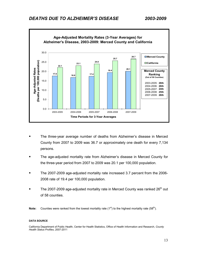

- The three-year average number of deaths from Alzheimer's disease in Merced County from 2007 to 2009 was 36.7 or approximately one death for every 7,134 persons.
- The age-adjusted mortality rate from Alzheimer's disease in Merced County for the three-year period from 2007 to 2009 was 20.1 per 100,000 population.
- The 2007-2009 age-adjusted mortality rate increased 3.7 percent from the 2006- 2008 rate of 19.4 per 100,000 population.
- The 2007-2009 age-adjusted mortality rate in Merced County was ranked  $26<sup>th</sup>$  out of 58 counties.

**Note:** Counties were ranked from the lowest mortality rate (1<sup>st</sup>) to the highest mortality rate (58<sup>th</sup>).

#### **DATA SOURCE**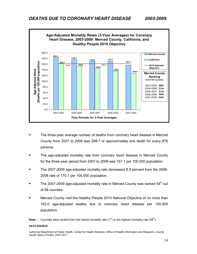

- The three-year average number of deaths from coronary heart disease in Merced County from 2007 to 2009 was 298.7 or approximately one death for every 876 persons.
- The age-adjusted mortality rate from coronary heart disease in Merced County for the three-year period from 2007 to 2009 was 157.1 per 100,000 population.
- The 2007-2009 age-adjusted mortality rate decreased 8.0 percent from the 2006- 2008 rate of 170.7 per 100,000 population.
- The 2007-2009 age-adjusted mortality rate in Merced County was ranked 54<sup>th</sup> out of 58 counties.
- Merced County *met* the Healthy People 2010 National Objective of no more than 162.0 age-adjusted deaths due to coronary heart disease per 100,000 population.

**Note:** Counties were ranked from the lowest mortality rate  $(1^{st})$  to the highest mortality rate  $(58^{th})$ .

#### **DATA SOURCE**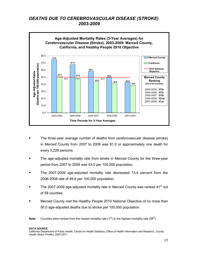# *DEATHS DUE TO CEREBROVASCULAR DISEASE (STROKE) 2003-2009*



- The three-year average number of deaths from cerebrovascular disease (stroke) in Merced County from 2007 to 2009 was 81.0 or approximately one death for every 3,229 persons.
- The age-adjusted mortality rate from stroke in Merced County for the three-year period from 2007 to 2009 was 43.0 per 100,000 population.
- **The 2007-2009 age-adjusted mortality rate decreased 13.4 percent from the** 2006-2008 rate of 49.6 per 100,000 population.
- The 2007-2009 age-adjusted mortality rate in Merced County was ranked 41<sup>st</sup> out of 58 counties.
- Merced County *met* the Healthy People 2010 National Objective of no more than 50.0 age-adjusted deaths due to stroke per 100,000 population.

**Note:** Counties were ranked from the lowest mortality rate  $(1^{st})$  to the highest mortality rate  $(58^{th})$ .

#### **DATA SOURCE**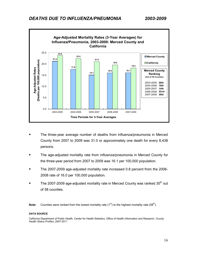

- The three-year average number of deaths from influenza/pneumonia in Merced County from 2007 to 2009 was 31.0 or approximately one death for every 8,438 persons.
- The age-adjusted mortality rate from influenza/pneumonia in Merced County for the three-year period from 2007 to 2009 was 16.1 per 100,000 population.
- The 2007-2009 age-adjusted mortality rate increased 0.8 percent from the 2006- 2008 rate of 16.0 per 100,000 population.
- The 2007-2009 age-adjusted mortality rate in Merced County was ranked 30<sup>th</sup> out of 58 counties.

**Note:** Counties were ranked from the lowest mortality rate (1<sup>st</sup>) to the highest mortality rate (58<sup>th</sup>).

#### **DATA SOURCE**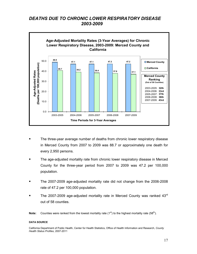# *DEATHS DUE TO CHRONIC LOWER RESPIRATORY DISEASE 2003-2009*



- The three-year average number of deaths from chronic lower respiratory disease in Merced County from 2007 to 2009 was 88.7 or approximately one death for every 2,950 persons.
- The age-adjusted mortality rate from chronic lower respiratory disease in Merced County for the three-year period from 2007 to 2009 was 47.2 per 100,000 population.
- The 2007-2009 age-adjusted mortality rate did not change from the 2006-2008 rate of 47.2 per 100,000 population.
- The 2007-2009 age-adjusted mortality rate in Merced County was ranked  $43<sup>rd</sup>$ out of 58 counties.

**Note:** Counties were ranked from the lowest mortality rate  $(1^{st})$  to the highest mortality rate  $(58^{th})$ .

#### **DATA SOURCE**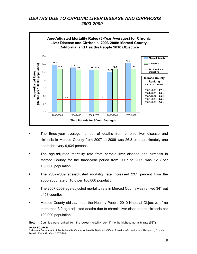# *DEATHS DUE TO CHRONIC LIVER DISEASE AND CIRRHOSIS 2003-2009*



- The three-year average number of deaths from chronic liver disease and cirrhosis in Merced County from 2007 to 2009 was 26.3 or approximately one death for every 9,934 persons.
- The age-adjusted mortality rate from chronic liver disease and cirrhosis in Merced County for the three-year period from 2007 to 2009 was 12.3 per 100,000 population.
- The 2007-2009 age-adjusted mortality rate increased 23.1 percent from the 2006-2008 rate of 10.0 per 100,000 population.
- The 2007-2009 age-adjusted mortality rate in Merced County was ranked  $34<sup>th</sup>$  out of 58 counties.
- Merced County did *not* meet the Healthy People 2010 National Objective of no more than 3.2 age-adjusted deaths due to chronic liver disease and cirrhosis per 100,000 population.

**Note:** Counties were ranked from the lowest mortality rate  $(1^{st})$  to the highest mortality rate  $(58^{th})$ .

**DATA SOURCE**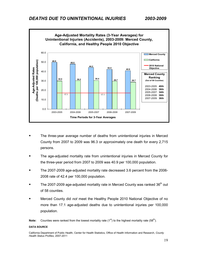

- The three-year average number of deaths from unintentional injuries in Merced County from 2007 to 2009 was 96.3 or approximately one death for every 2,715 persons.
- The age-adjusted mortality rate from unintentional injuries in Merced County for the three-year period from 2007 to 2009 was 40.9 per 100,000 population.
- The 2007-2009 age-adjusted mortality rate decreased 3.6 percent from the 2006- 2008 rate of 42.4 per 100,000 population.
- The 2007-2009 age-adjusted mortality rate in Merced County was ranked  $36<sup>th</sup>$  out of 58 counties.
- Merced County did *not* meet the Healthy People 2010 National Objective of no more than 17.1 age-adjusted deaths due to unintentional injuries per 100,000 population.

**Note:** Counties were ranked from the lowest mortality rate  $(1^{st})$  to the highest mortality rate  $(58<sup>th</sup>)$ .

#### **DATA SOURCE**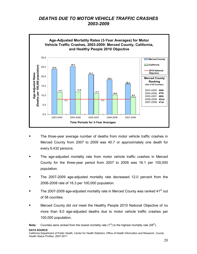# *DEATHS DUE TO MOTOR VEHICLE TRAFFIC CRASHES 2003-2009*



- The three-year average number of deaths from motor vehicle traffic crashes in Merced County from 2007 to 2009 was 40.7 or approximately one death for every 6,432 persons.
- The age-adjusted mortality rate from motor vehicle traffic crashes in Merced County for the three-year period from 2007 to 2009 was 16.1 per 100,000 population.
- The 2007-2009 age-adjusted mortality rate decreased 12.0 percent from the 2006-2008 rate of 18.3 per 100,000 population.
- The 2007-2009 age-adjusted mortality rate in Merced County was ranked 41<sup>st</sup> out of 58 counties.
- Merced County did *not* meet the Healthy People 2010 National Objective of no more than 8.0 age-adjusted deaths due to motor vehicle traffic crashes per 100,000 population.

**Note:** Counties were ranked from the lowest mortality rate  $(1^{st})$  to the highest mortality rate  $(58^{th})$ .

**DATA SOURCE**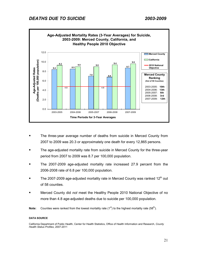

- **The three-year average number of deaths from suicide in Merced County from** 2007 to 2009 was 20.3 or approximately one death for every 12,865 persons.
- The age-adjusted mortality rate from suicide in Merced County for the three-year period from 2007 to 2009 was 8.7 per 100,000 population.
- The 2007-2009 age-adjusted mortality rate increased 27.9 percent from the 2006-2008 rate of 6.8 per 100,000 population.
- The 2007-2009 age-adjusted mortality rate in Merced County was ranked  $12<sup>th</sup>$  out of 58 counties.
- Merced County did *not* meet the Healthy People 2010 National Objective of no more than 4.8 age-adjusted deaths due to suicide per 100,000 population.
- **Note:** Counties were ranked from the lowest mortality rate (1<sup>st</sup>) to the highest mortality rate (58<sup>th</sup>).

#### **DATA SOURCE**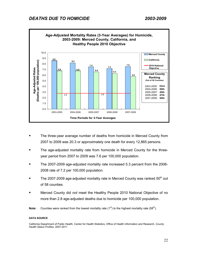

- **The three-year average number of deaths from homicide in Merced County from** 2007 to 2009 was 20.3 or approximately one death for every 12,865 persons.
- The age-adjusted mortality rate from homicide in Merced County for the threeyear period from 2007 to 2009 was 7.6 per 100,000 population.
- The 2007-2009 age-adjusted mortality rate increased 5.3 percent from the 2006- 2008 rate of 7.2 per 100,000 population.
- The 2007-2009 age-adjusted mortality rate in Merced County was ranked  $50<sup>th</sup>$  out of 58 counties.
- Merced County did *not* meet the Healthy People 2010 National Objective of no more than 2.8 age-adjusted deaths due to homicide per 100,000 population.
- **Note:** Counties were ranked from the lowest mortality rate (1<sup>st</sup>) to the highest mortality rate (58<sup>th</sup>).

#### **DATA SOURCE**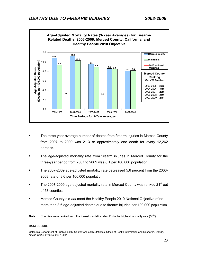

- The three-year average number of deaths from firearm injuries in Merced County from 2007 to 2009 was 21.3 or approximately one death for every 12,262 persons.
- The age-adjusted mortality rate from firearm injuries in Merced County for the three-year period from 2007 to 2009 was 8.1 per 100,000 population.
- The 2007-2009 age-adjusted mortality rate decreased 5.6 percent from the 2006- 2008 rate of 8.6 per 100,000 population.
- The 2007-2009 age-adjusted mortality rate in Merced County was ranked 21<sup>st</sup> out of 58 counties.
- Merced County did *not* meet the Healthy People 2010 National Objective of no more than 3.6 age-adjusted deaths due to firearm injuries per 100,000 population.

**Note:** Counties were ranked from the lowest mortality rate (1<sup>st</sup>) to the highest mortality rate (58<sup>th</sup>).

#### **DATA SOURCE**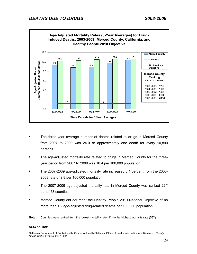

- The three-year average number of deaths related to drugs in Merced County from 2007 to 2009 was 24.0 or approximately one death for every 10,899 persons.
- The age-adjusted mortality rate related to drugs in Merced County for the threeyear period from 2007 to 2009 was 10.4 per 100,000 population.
- The 2007-2009 age-adjusted mortality rate increased 6.1 percent from the 2006- 2008 rate of 9.8 per 100,000 population.
- The 2007-2009 age-adjusted mortality rate in Merced County was ranked 22<sup>nd</sup> out of 58 counties.
- Merced County did *not* meet the Healthy People 2010 National Objective of no more than 1.2 age-adjusted drug-related deaths per 100,000 population.

**Note:** Counties were ranked from the lowest mortality rate  $(1^{st})$  to the highest mortality rate  $(58^{th})$ .

#### **DATA SOURCE**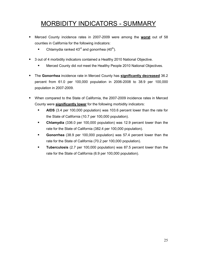# MORBIDITY INDICATORS - SUMMARY

- Merced County incidence rates in 2007-2009 were among the **worst** out of 58 counties in California for the following indicators:
	- Chlamydia ranked  $43^{\text{rd}}$  and gonorrhea  $(40^{\text{th}})$ .
- 3 out of 4 morbidity indicators contained a Healthy 2010 National Objective.
	- Merced County did *not* meet the Healthy People 2010 National Objectives.
- The **Gonorrhea** incidence rate in Merced County has **significantly decreased** 36.2 percent from 61.0 per 100,000 population in 2006-2008 to 38.9 per 100,000 population in 2007-2009.
- When compared to the State of California, the 2007-2009 incidence rates in Merced County were **significantly lower** for the following morbidity indicators:
	- **AIDS** (3.4 per 100,000 population) was 103.6 percent lower than the rate for the State of California (10.7 per 100,000 population).
	- **Chlamydia** (336.0 per 100,000 population) was 12.9 percent lower than the rate for the State of California (382.4 per 100,000 population).
	- **Gonorrhea** (38.9 per 100,000 population) was 57.4 percent lower than the rate for the State of California (70.2 per 100,000 population).
	- **Tuberculosis** (2.7 per 100,000 population) was 87.5 percent lower than the rate for the State of California (6.9 per 100,000 population).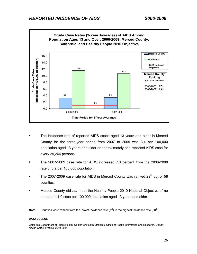

- The incidence rate of reported AIDS cases aged 13 years and older in Merced County for the three-year period from 2007 to 2009 was 3.4 per 100,000 population aged 13 years and older or approximately one reported AIDS case for every 29,264 persons.
- The 2007-2009 case rate for AIDS increased 7.8 percent from the 2006-2008 rate of 3.2 per 100,000 population.
- The 2007-2009 case rate for AIDS in Merced County was ranked  $29<sup>th</sup>$  out of 58 counties.
- Merced County did *not* meet the Healthy People 2010 National Objective of no more than 1.0 case per 100,000 population aged 13 years and older.

**Note:** Counties were ranked from the lowest incidence rate (1<sup>st</sup>) to the highest incidence rate (58<sup>th</sup>).

#### **DATA SOURCE**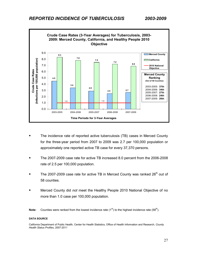

- The incidence rate of reported active tuberculosis (TB) cases in Merced County for the three-year period from 2007 to 2009 was 2.7 per 100,000 population or approximately one reported active TB case for every 37,370 persons.
- The 2007-2009 case rate for active TB increased 8.0 percent from the 2006-2008 rate of 2.5 per 100,000 population.
- The 2007-2009 case rate for active TB in Merced County was ranked 26<sup>th</sup> out of 58 counties.
- Merced County did *not* meet the Healthy People 2010 National Objective of no more than 1.0 case per 100,000 population.

**Note:** Counties were ranked from the lowest incidence rate  $(1^{st})$  to the highest incidence rate  $(58^{th})$ .

#### **DATA SOURCE**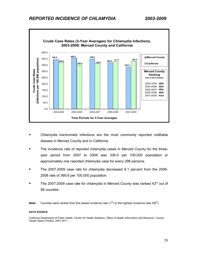

- *Chlamydia trachomatis* infections are the most commonly reported notifiable disease in Merced County and in California.
- The incidence rate of reported chlamydia cases in Merced County for the threeyear period from 2007 to 2009 was 336.0 per 100,000 population or approximately one reported chlamydia case for every 298 persons.
- The 2007-2009 case rate for chlamydia decreased 9.1 percent from the 2006-2008 rate of 369.8 per 100,000 population.
- The 2007-2009 case rate for chlamydia in Merced County was ranked 43<sup>rd</sup> out of 58 counties.

**Note:** Counties were ranked from the lowest incidence rate (1<sup>st</sup>) to the highest incidence rate (58<sup>th</sup>).

#### **DATA SOURCE**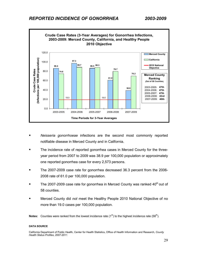

- *Neisseria gonorrhoeae* infections are the second most commonly reported notifiable disease in Merced County and in California.
- The incidence rate of reported gonorrhea cases in Merced County for the threeyear period from 2007 to 2009 was 38.9 per 100,000 population or approximately one reported gonorrhea case for every 2,573 persons.
- The 2007-2009 case rate for gonorrhea decreased 36.3 percent from the 2006- 2008 rate of 61.0 per 100,000 population.
- The 2007-2009 case rate for gonorrhea in Merced County was ranked  $40<sup>th</sup>$  out of 58 counties.
- Merced County did *not* meet the Healthy People 2010 National Objective of no more than 19.0 cases per 100,000 population.

**Notes:** Counties were ranked from the lowest incidence rate (1<sup>st</sup>) to the highest incidence rate (58<sup>th</sup>).

#### **DATA SOURCE**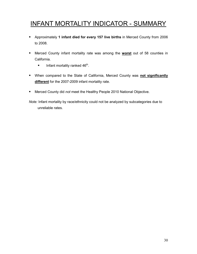# INFANT MORTALITY INDICATOR - SUMMARY

- Approximately **1 infant died for every 157 live births** in Merced County from 2006 to 2008.
- Merced County infant mortality rate was among the **worst** out of 58 counties in California.
	- Infant mortality ranked  $46<sup>th</sup>$ .
- When compared to the State of California, Merced County was **not significantly different** for the 2007-2009 infant mortality rate.
- Merced County did *not* meet the Healthy People 2010 National Objective.

*Note:* Infant mortality by race/ethnicity could not be analyzed by subcategories due to unreliable rates.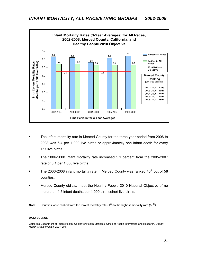

- The infant mortality rate in Merced County for the three-year period from 2006 to 2008 was 6.4 per 1,000 live births or approximately one infant death for every 157 live births.
- The 2006-2008 infant mortality rate increased 5.1 percent from the 2005-2007 rate of 6.1 per 1,000 live births.
- The 2006-2008 infant mortality rate in Merced County was ranked  $46<sup>th</sup>$  out of 58 counties.
- Merced County did *not* meet the Healthy People 2010 National Objective of no more than 4.5 infant deaths per 1,000 birth cohort live births.
- **Note:** Counties were ranked from the lowest mortality rate  $(1^{st})$  to the highest mortality rate  $(58^{th})$ .

#### **DATA SOURCE**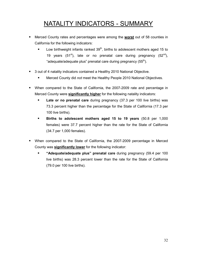# NATALITY INDICATORS - SUMMARY

- Merced County rates and percentages were among the **worst** out of 58 counties in California for the following indicators:
	- **Low birthweight infants ranked 39<sup>th</sup>, births to adolescent mothers aged 15 to** 19 years (51<sup>st</sup>), late or no prenatal care during pregnancy (52<sup>nd</sup>), "adequate/adequate plus" prenatal care during pregnancy (55<sup>th</sup>).
- 3 out of 4 natality indicators contained a Healthy 2010 National Objective.
	- Merced County did *not* meet the Healthy People 2010 National Objectives.
- When compared to the State of California, the 2007-2009 rate and percentage in Merced County were **significantly higher** for the following natality indicators:
	- **Late or no prenatal care** during pregnancy (37.3 per 100 live births) was 73.3 percent higher than the percentage for the State of California (17.3 per 100 live births).
	- **Births to adolescent mothers aged 15 to 19 years** (50.8 per 1,000 females) were 37.7 percent higher than the rate for the State of California (34.7 per 1,000 females).
- When compared to the State of California, the 2007-2009 percentage in Merced County was **significantly lower** for the following indicator:
	- **"Adequate/adequate plus" prenatal care** during pregnancy (59.4 per 100 live births) was 28.3 percent lower than the rate for the State of California (79.0 per 100 live births).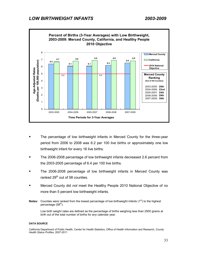

- The percentage of low birthweight infants in Merced County for the three-year period from 2006 to 2008 was 6.2 per 100 live births or approximately one low birthweight infant for every 16 live births.
- The 2006-2008 percentage of low birthweight infants decreased 2.6 percent from the 2003-2005 percentage of 6.4 per 100 live births.
- The 2006-2008 percentage of low birthweight infants in Merced County was ranked 29<sup>th</sup> out of 58 counties.
- Merced County did *not* meet the Healthy People 2010 National Objective of no more than 5 percent low birthweight infants.
- **Notes:** Counties were ranked from the lowest percentage of low birthweight infants (1<sup>st</sup>) to the highest percentage (58<sup>th</sup>).

Low birth weight rates are defined as the percentage of births weighing less than 2500 grams at birth out of the total number of births for any calendar year.

#### **DATA SOURCE**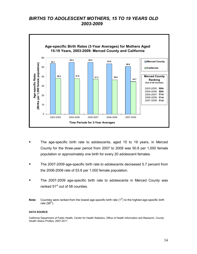# *BIRTHS TO ADOLESCENT MOTHERS, 15 TO 19 YEARS OLD 2003-2009*



- The age-specific birth rate to adolescents, aged 15 to 19 years, in Merced County for the three-year period from 2007 to 2009 was 50.8 per 1,000 female population or approximately one birth for every 20 adolescent females.
- The 2007-2009 age-specific birth rate to adolescents decreased 5.7 percent from the 2006-2008 rate of 53.8 per 1,000 female population.
- The 2007-2009 age-specific birth rate to adolescents in Merced County was ranked 51<sup>st</sup> out of 58 counties.
- **Note:** Counties were ranked from the lowest age-specific birth rate (1<sup>st</sup>) to the highest age-specific birth rate  $(58<sup>th</sup>)$ .

#### **DATA SOURCE**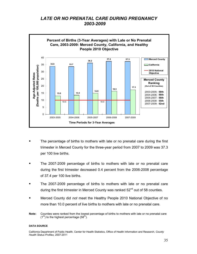# *LATE OR NO PRENATAL CARE DURING PREGNANCY 2003-2009*



- **The percentage of births to mothers with late or no prenatal care during the first** trimester in Merced County for the three-year period from 2007 to 2009 was 37.3 per 100 live births.
- The 2007-2009 percentage of births to mothers with late or no prenatal care during the first trimester decreased 0.4 percent from the 2006-2008 percentage of 37.4 per 100 live births.
- The 2007-2009 percentage of births to mothers with late or no prenatal care during the first trimester in Merced County was ranked 52<sup>nd</sup> out of 58 counties.
- Merced County did *not* meet the Healthy People 2010 National Objective of no more than 10.0 percent of live births to mothers with late or no prenatal care.
- **Note:** Counties were ranked from the lowest percentage of births to mothers with late or no prenatal care  $(1<sup>st</sup>)$  to the highest percentage  $(58<sup>th</sup>)$ .

#### **DATA SOURCE**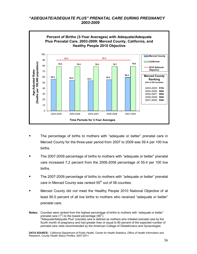### *"ADEQUATE/ADEQUATE PLUS" PRENATAL CARE DURING PREGNANCY 2003-2009*



- The percentage of births to mothers with "adequate or better" prenatal care in Merced County for the three-year period from 2007 to 2009 was 59.4 per 100 live births.
- The 2007-2009 percentage of births to mothers with "adequate or better" prenatal care increased 7.2 percent from the 2006-2008 percentage of 55.4 per 100 live births.
- The 2007-2009 percentage of births to mothers with "adequate or better" prenatal care in Merced County was ranked  $55<sup>th</sup>$  out of 58 counties.
- Merced County did *not* meet the Healthy People 2010 National Objective of at least 90.0 percent of all live births to mothers who received "adequate or better" prenatal care.

**Notes:** Counties were ranked from the highest percentage of births to mothers with "adequate or better" prenatal care  $(1^{st})$  to the lowest percentage (58<sup>th</sup>). "Adequate/Adequate Plus" prenatal care is defined as mothers who initiated prenatal care by the fourth month of pregnancy and had greater than or equal to 80 percent of the expected number of prenatal care visits recommended by the American College of Obstetricians and Gynecologist.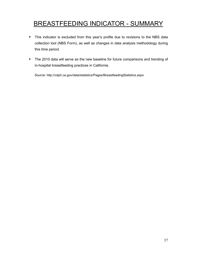# BREASTFEEDING INDICATOR - SUMMARY

- This indicator is excluded from this year's profile due to revisions to the NBS data collection tool (NBS Form), as well as changes in data analysis methodology during this time period.
- **The 2010 data will serve as the new baseline for future comparisons and trending of** in-hospital breastfeeding practices in California.

Source: http://cdph.ca.gov/data/statistics/Pages/BreastfeedingStatistics.aspx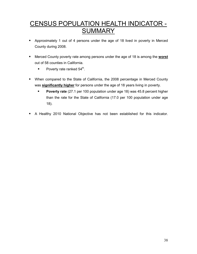# CENSUS POPULATION HEALTH INDICATOR - **SUMMARY**

- Approximately 1 out of 4 persons under the age of 18 lived in poverty in Merced County during 2008.
- Merced County poverty rate among persons under the age of 18 is among the **worst** out of 58 counties in California.
	- Poverty rate ranked  $54<sup>th</sup>$ .
- When compared to the State of California, the 2008 percentage in Merced County was **significantly higher** for persons under the age of 18 years living in poverty.
	- **Poverty rate** (27.1 per 100 population under age 18) was 45.8 percent higher than the rate for the State of California (17.0 per 100 population under age 18).
- A Healthy 2010 National Objective has not been established for this indicator.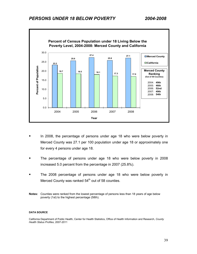

- In 2008, the percentage of persons under age 18 who were below poverty in Merced County was 27.1 per 100 population under age 18 or approximately one for every 4 persons under age 18.
- The percentage of persons under age 18 who were below poverty in 2008 increased 5.0 percent from the percentage in 2007 (25.8%).
- The 2008 percentage of persons under age 18 who were below poverty in Merced County was ranked  $54<sup>th</sup>$  out of 58 counties.
- **Notes:** Counties were ranked from the lowest percentage of persons less than 18 years of age below poverty (1st) to the highest percentage (58th).

#### **DATA SOURCE**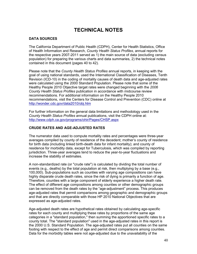# **TECHNICAL NOTES**

### **DATA SOURCES**

The California Department of Public Health (CDPH), Center for Health Statistics, Office of Health Information and Research, *County Health Status Profiles*, annual reports for the respective years 2007-2011 served as 1) the main source of data (excluding census population) for preparing the various charts and data summaries, 2) the technical notes contained in this document (pages 40 to 42).

Please note that the *County Health Status Profiles* annual reports, in keeping with the goal of using national standards, used the International Classification of Diseases, Tenth Revision (ICD-10) in the coding of mortality causes of death data and age-adjusted rates were calculated using the 2000 Standard Population. Please note that some of the Healthy People 2010 Objective target rates were changed beginning with the *2006 County Health Status Profiles* publication in accordance with midcourse review recommendations. For additional information on the Healthy People 2010 recommendations, visit the Centers for Disease Control and Prevention (CDC) online at http://wonder.cdc.gov/data2010/obj.htm

For further information on the general data limitations and methodology used in the *County Health Status Profiles* annual publications, visit the CDPH online at: http://www.cdph.ca.gov/programs/ohir/Pages/CHSP.aspx

### **CRUDE RATES AND AGE-ADJUSTED RATES**

The numerator data used to compute mortality rates and percentages were three-year averages compiled by county of residence of the decedent; mother's county of residence for birth data (including linked birth-death data for infant mortality); and county of residence for morbidity data, except for Tuberculosis, which was compiled by reporting jurisdiction. Three-year averages tend to reduce the year-to-year fluctuations and increase the stability of estimates.

A non-standardized rate (or "crude rate") is calculated by dividing the total number of events (e.g., deaths) by the total population at risk, then multiplying by a base (e.g., 100,000). Sub-populations such as counties with varying age compositions can have highly disparate crude death rates, since the risk of dying is primarily a function of age. Therefore, counties with a large component of elderly experience a higher death rate. The effect of different age compositions among counties or other demographic groups can be removed from the death rates by the "age-adjustment" process. This produces age-adjusted rates that permit comparisons among geographic and demographic groups and that are directly comparable with those HP 2010 National Objectives that are expressed as age-adjusted rates.

Age-adjusted death rates are hypothetical rates obtained by calculating age-specific rates for each county and multiplying these rates by proportions of the same age categories in a "standard population," then summing the apportioned specific rates to a county total. The "standard population" used in the age-adjusted rates in this report is the 2000 U.S. Standard Population. The age-adjusted rates put all counties on the same footing with respect to the effect of age and permit direct comparisons among counties. Data for the morbidity tables were not age-adjusted due to the unavailability of the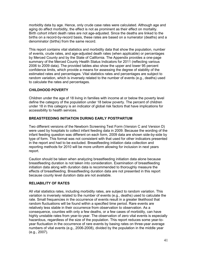morbidity data by age. Hence, only crude case rates were calculated. Although age and aging do affect morbidity, the effect is not as prominent as their effect on mortality. Birth cohort infant death rates are not age-adjusted. Since the deaths are linked to the births on a record-by-record basis, these rates are based on a numerator (deaths) and a denominator (births) from the same record.

This report contains vital statistics and morbidity data that show the population, number of events, crude rates, and age-adjusted death rates (when applicable) or percentages by Merced County and by the State of California. The Appendix provides a one-page summary of the Merced County Health Status Indicators for 2011 (reflecting various 2006 to 2009 data). The provided tables also show the upper and lower 95 percent confidence limits, which provide a means for assessing the degree of stability of the estimated rates and percentages. Vital statistics rates and percentages are subject to random variation, which is inversely related to the number of events (e.g., deaths) used to calculate the rates and percentages.

### **CHILDHOOD POVERTY**

Children under the age of 18 living in families with income at or below the poverty level define the category of the population under 18 below poverty. The percent of children under 18 in this category is an indicator of global risk factors that have implications for accessibility to health services.

### **BREASTFEEDING INITIATION DURING EARLY POSTPARTUM**

Two different versions of the Newborn Screening Test Form (Version C and Version D) were used by hospitals to collect infant feeding data in 2009. Because the wording of the infant feeding question was different on each form, 2009 data are shown side-by-side by type of form. This format was not consistent with that used for other indicators presented in the report and had to be excluded. Breastfeeding initiation data collection and reporting methods for 2010 will be more uniform allowing for inclusion in next years report.

Caution should be taken when analyzing breastfeeding initiation data alone because breastfeeding duration is not taken into consideration. Examination of breastfeeding initiation data along with duration data is recommended to thoroughly measure the effects of breastfeeding. Breastfeeding duration data are not presented in this report because county level duration data are not available.

### **RELIABILITY OF RATES**

All vital statistics rates, including morbidity rates, are subject to random variation. This variation is inversely related to the number of events (e.g., deaths) used to calculate the rate. Small frequencies in the occurrence of events result in a greater likelihood that random fluctuations will be found within a specified time period. Rare events are relatively less stable in their occurrence from observation to observation. As a consequence, counties with only a few deaths, or a few cases of morbidity, can have highly unstable rates from year-to-year. The observation of zero vital events is especially hazardous, regardless of the size of the population. This report reduces some year-toyear fluctuation in the occurrence of rare events by basing rates on three-year average numbers of vital events (e.g., 2006-2008), divided by the population in the middle year (e.g., 2007).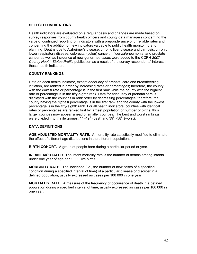### **SELECTED INDICATORS**

Health indicators are evaluated on a regular basis and changes are made based on survey responses from county health officers and county data managers concerning the value of continued reporting on indicators with a preponderance of unreliable rates and concerning the addition of new indicators valuable to public health monitoring and planning. Deaths due to Alzheimer's disease, chronic liver disease and cirrhosis, chronic lower respiratory disease, colorectal (colon) cancer, influenza/pneumonia, and prostate cancer as well as incidence of new gonorrhea cases were added to the CDPH *2007 County Health Status Profile* publication as a result of the survey respondents' interest in these health indicators.

### **COUNTY RANKINGS**

Data on each health indicator, except adequacy of prenatal care and breastfeeding initiation, are ranked in order by increasing rates or percentages; therefore, the county with the *lowest* rate or percentage is in the first rank while the county with the highest rate or percentage is in the fifty-eighth rank. Data for adequacy of prenatal care is displayed with the counties in rank order by decreasing percentages; therefore, the county having the *highest* percentage is in the first rank and the county with the lowest percentage is in the fifty-eighth rank. For all health indicators, counties with identical rates or percentages are ranked first by largest population or number of births, thus larger counties may appear ahead of smaller counties. The best and worst rankings were divided into thirtile groups:  $1<sup>st</sup> -19<sup>th</sup>$  (best) and  $39<sup>th</sup> -58<sup>th</sup>$  (worst).

#### **DATA DEFINITIONS**

**AGE-ADJUSTED MORTALITY RATE.** A mortality rate statistically modified to eliminate the effect of different age distributions in the different populations.

**BIRTH COHORT.** A group of people born during a particular period or year.

**INFANT MORTALITY.** The infant mortality rate is the number of deaths among infants under one year of age per 1,000 live births

**MORBIDITY RATE.** The incidence (i.e., the number of new cases of a specified condition during a specified interval of time) of a particular disease or disorder in a defined population, usually expressed as cases per 100 000 in one year.

**MORTALITY RATE.** A measure of the frequency of occurrence of death in a defined population during a specified interval of time, usually expressed as cases per 100 000 in one year.